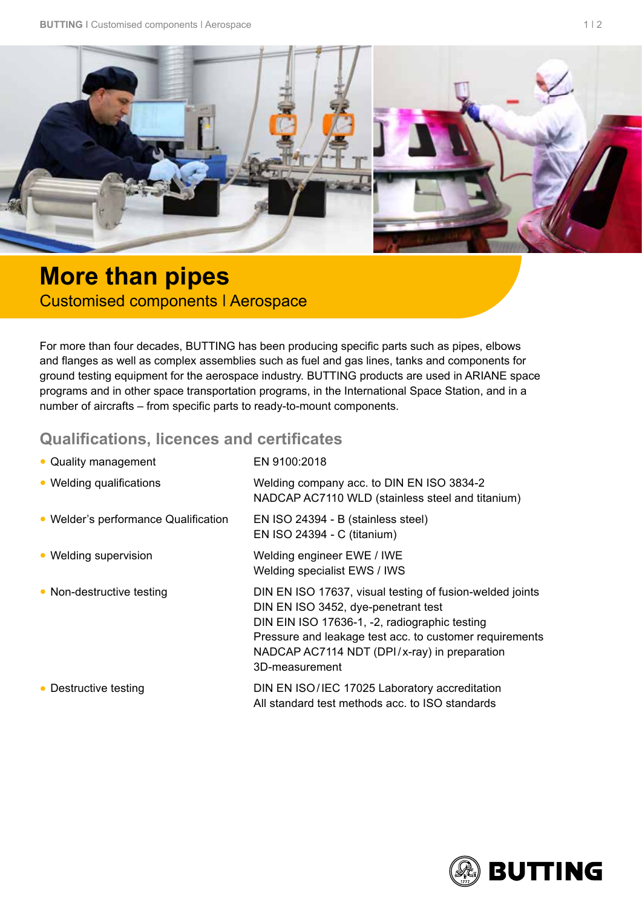

## **More than pipes**  Customised components ǀ Aerospace

For more than four decades, BUTTING has been producing specific parts such as pipes, elbows and flanges as well as complex assemblies such as fuel and gas lines, tanks and components for ground testing equipment for the aerospace industry. BUTTING products are used in ARIANE space programs and in other space transportation programs, in the International Space Station, and in a number of aircrafts – from specific parts to ready-to-mount components.

## **Qualifications, licences and certificates**

| • Quality management                 | EN 9100:2018                                                                                                                                                                                                                                                                  |
|--------------------------------------|-------------------------------------------------------------------------------------------------------------------------------------------------------------------------------------------------------------------------------------------------------------------------------|
| • Welding qualifications             | Welding company acc. to DIN EN ISO 3834-2<br>NADCAP AC7110 WLD (stainless steel and titanium)                                                                                                                                                                                 |
| • Welder's performance Qualification | EN ISO 24394 - B (stainless steel)<br>EN ISO 24394 - C (titanium)                                                                                                                                                                                                             |
| • Welding supervision                | Welding engineer EWE / IWE<br>Welding specialist EWS / IWS                                                                                                                                                                                                                    |
| • Non-destructive testing            | DIN EN ISO 17637, visual testing of fusion-welded joints<br>DIN EN ISO 3452, dye-penetrant test<br>DIN EIN ISO 17636-1, -2, radiographic testing<br>Pressure and leakage test acc. to customer requirements<br>NADCAP AC7114 NDT (DPI/x-ray) in preparation<br>3D-measurement |
| • Destructive testing                | DIN EN ISO/IEC 17025 Laboratory accreditation<br>All standard test methods acc. to ISO standards                                                                                                                                                                              |